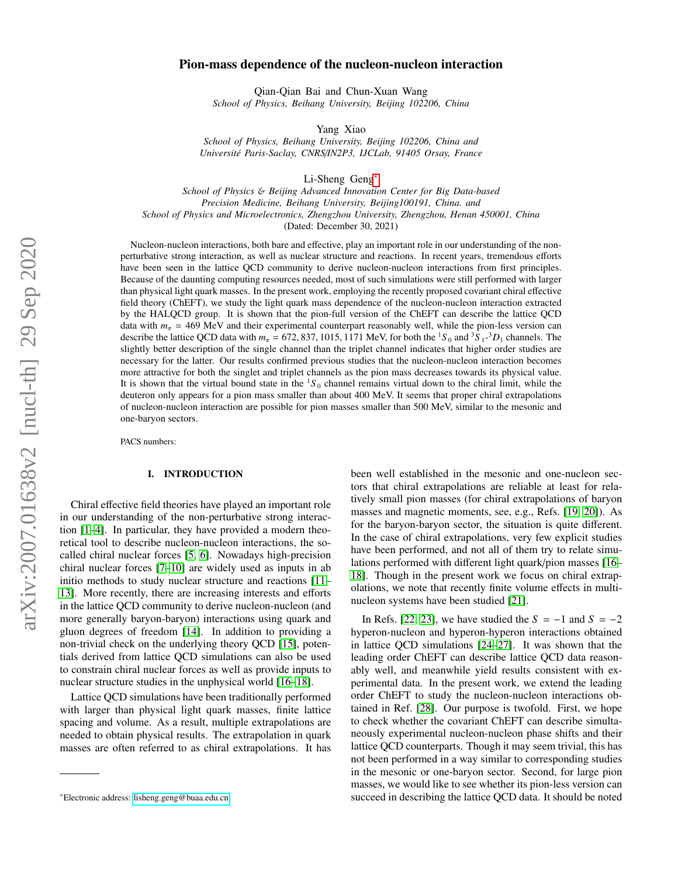# Pion-mass dependence of the nucleon-nucleon interaction

Qian-Qian Bai and Chun-Xuan Wang *School of Physics, Beihang University, Beijing 102206, China*

Yang Xiao

*School of Physics, Beihang University, Beijing 102206, China and Universit´e Paris-Saclay, CNRS*/*IN2P3, IJCLab, 91405 Orsay, France*

Li-Sheng Geng[∗](#page-0-0)

*School of Physics* & *Beijing Advanced Innovation Center for Big Data-based Precision Medicine, Beihang University, Beijing100191, China. and School of Physics and Microelectronics, Zhengzhou University, Zhengzhou, Henan 450001, China* (Dated: December 30, 2021)

Nucleon-nucleon interactions, both bare and effective, play an important role in our understanding of the nonperturbative strong interaction, as well as nuclear structure and reactions. In recent years, tremendous efforts have been seen in the lattice QCD community to derive nucleon-nucleon interactions from first principles. Because of the daunting computing resources needed, most of such simulations were still performed with larger than physical light quark masses. In the present work, employing the recently proposed covariant chiral effective field theory (ChEFT), we study the light quark mass dependence of the nucleon-nucleon interaction extracted by the HALQCD group. It is shown that the pion-full version of the ChEFT can describe the lattice QCD data with  $m_{\pi}$  = 469 MeV and their experimental counterpart reasonably well, while the pion-less version can describe the lattice QCD data with  $m_{\pi} = 672,837,1015,1171$  MeV, for both the <sup>1</sup>S<sub>0</sub> and <sup>3</sup>S<sub>1</sub>-<sup>3</sup>D<sub>1</sub> channels. The slightly better description of the single channel than the triplet channel indicates that higher or slightly better description of the single channel than the triplet channel indicates that higher order studies are necessary for the latter. Our results confirmed previous studies that the nucleon-nucleon interaction becomes more attractive for both the singlet and triplet channels as the pion mass decreases towards its physical value. It is shown that the virtual bound state in the  ${}^{1}S_0$  channel remains virtual down to the chiral limit, while the deuteron only appears for a pion mass smaller than about 400 MeV. It seems that proper chiral extrapolations of nucleon-nucleon interaction are possible for pion masses smaller than 500 MeV, similar to the mesonic and one-baryon sectors.

PACS numbers:

### I. INTRODUCTION

Chiral effective field theories have played an important role in our understanding of the non-perturbative strong interaction [\[1–](#page-6-0)[4\]](#page-6-1). In particular, they have provided a modern theoretical tool to describe nucleon-nucleon interactions, the socalled chiral nuclear forces [\[5,](#page-6-2) [6\]](#page-6-3). Nowadays high-precision chiral nuclear forces [\[7](#page-6-4)[–10\]](#page-6-5) are widely used as inputs in ab initio methods to study nuclear structure and reactions [\[11–](#page-6-6) [13\]](#page-6-7). More recently, there are increasing interests and efforts in the lattice QCD community to derive nucleon-nucleon (and more generally baryon-baryon) interactions using quark and gluon degrees of freedom [\[14\]](#page-6-8). In addition to providing a non-trivial check on the underlying theory QCD [\[15\]](#page-6-9), potentials derived from lattice QCD simulations can also be used to constrain chiral nuclear forces as well as provide inputs to nuclear structure studies in the unphysical world [\[16–](#page-6-10)[18\]](#page-6-11).

Lattice QCD simulations have been traditionally performed with larger than physical light quark masses, finite lattice spacing and volume. As a result, multiple extrapolations are needed to obtain physical results. The extrapolation in quark masses are often referred to as chiral extrapolations. It has been well established in the mesonic and one-nucleon sectors that chiral extrapolations are reliable at least for relatively small pion masses (for chiral extrapolations of baryon masses and magnetic moments, see, e.g., Refs. [\[19,](#page-6-12) [20\]](#page-6-13)). As for the baryon-baryon sector, the situation is quite different. In the case of chiral extrapolations, very few explicit studies have been performed, and not all of them try to relate simulations performed with different light quark/pion masses [\[16–](#page-6-10) [18\]](#page-6-11). Though in the present work we focus on chiral extrapolations, we note that recently finite volume effects in multinucleon systems have been studied [\[21\]](#page-6-14).

In Refs. [\[22,](#page-6-15) [23\]](#page-6-16), we have studied the  $S = -1$  and  $S = -2$ hyperon-nucleon and hyperon-hyperon interactions obtained in lattice QCD simulations [\[24–](#page-6-17)[27\]](#page-6-18). It was shown that the leading order ChEFT can describe lattice QCD data reasonably well, and meanwhile yield results consistent with experimental data. In the present work, we extend the leading order ChEFT to study the nucleon-nucleon interactions obtained in Ref. [\[28\]](#page-6-19). Our purpose is twofold. First, we hope to check whether the covariant ChEFT can describe simultaneously experimental nucleon-nucleon phase shifts and their lattice QCD counterparts. Though it may seem trivial, this has not been performed in a way similar to corresponding studies in the mesonic or one-baryon sector. Second, for large pion masses, we would like to see whether its pion-less version can succeed in describing the lattice QCD data. It should be noted

<span id="page-0-0"></span><sup>∗</sup>Electronic address: [lisheng.geng@buaa.edu.cn](mailto:lisheng.geng@buaa.edu.cn)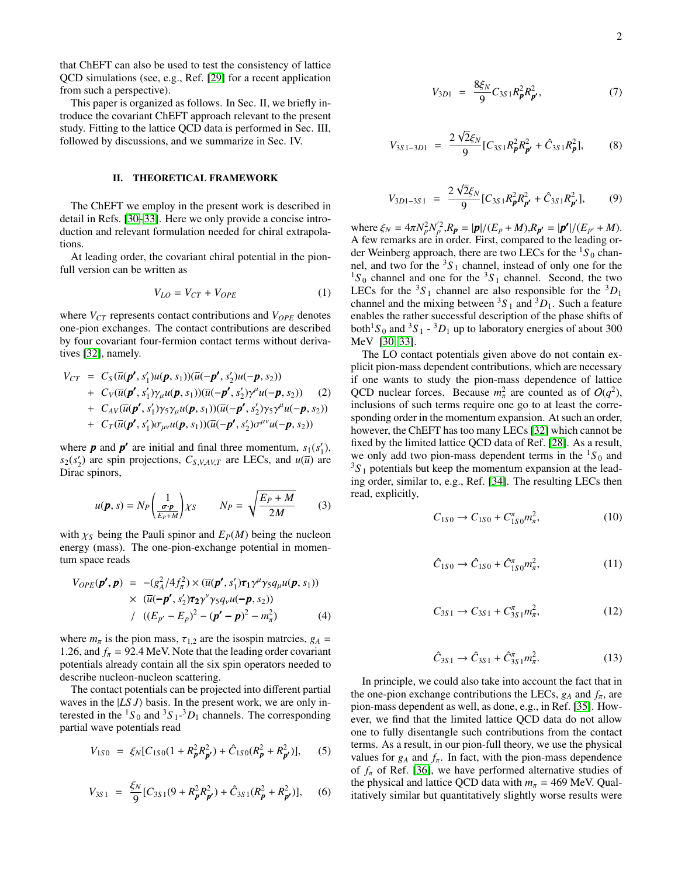that ChEFT can also be used to test the consistency of lattice QCD simulations (see, e.g., Ref. [\[29\]](#page-6-20) for a recent application from such a perspective).

This paper is organized as follows. In Sec. II, we briefly introduce the covariant ChEFT approach relevant to the present study. Fitting to the lattice QCD data is performed in Sec. III, followed by discussions, and we summarize in Sec. IV.

### II. THEORETICAL FRAMEWORK

The ChEFT we employ in the present work is described in detail in Refs. [\[30](#page-6-21)[–33\]](#page-6-22). Here we only provide a concise introduction and relevant formulation needed for chiral extrapolations.

At leading order, the covariant chiral potential in the pionfull version can be written as

$$
V_{LO} = V_{CT} + V_{OPE} \tag{1}
$$

where  $V_{CT}$  represents contact contributions and  $V_{OPE}$  denotes one-pion exchanges. The contact contributions are described by four covariant four-fermion contact terms without derivatives [\[32\]](#page-6-23), namely.

$$
V_{CT} = C_S(\overline{u}(\boldsymbol{p'}, s_1')u(\boldsymbol{p}, s_1))(\overline{u}(-\boldsymbol{p'}, s_2')u(-\boldsymbol{p}, s_2))
$$
  
+  $C_V(\overline{u}(\boldsymbol{p'}, s_1')\gamma_\mu u(\boldsymbol{p}, s_1))(\overline{u}(-\boldsymbol{p'}, s_2')\gamma^\mu u(-\boldsymbol{p}, s_2))$  (2)  
+  $C_{AV}(\overline{u}(\boldsymbol{p'}, s_1')\gamma_5\gamma_\mu u(\boldsymbol{p}, s_1))(\overline{u}(-\boldsymbol{p'}, s_2')\gamma_5\gamma^\mu u(-\boldsymbol{p}, s_2))$   
+  $C_T(\overline{u}(\boldsymbol{p'}, s_1')\sigma_{\mu\nu} u(\boldsymbol{p}, s_1))(\overline{u}(-\boldsymbol{p'}, s_2')\sigma^{\mu\nu} u(-\boldsymbol{p}, s_2))$ 

where *p* and *p* are initial and final three momentum,  $s_1(s'_1)$ ,  $s_2(s'_2)$  are spin projections,  $C_{S,V,AV,T}$  are LECs, and  $u(\overline{u})$  are Dirac spinors,

$$
u(\boldsymbol{p}, s) = N_P \left(\frac{1}{\frac{\sigma \cdot \boldsymbol{p}}{E_P + M}}\right) \chi_S \qquad N_P = \sqrt{\frac{E_P + M}{2M}} \qquad (3)
$$

with  $\chi_S$  being the Pauli spinor and  $E_P(M)$  being the nucleon energy (mass). The one-pion-exchange potential in momentum space reads

$$
V_{OPE}(\boldsymbol{p'}, \boldsymbol{p}) = -(g_A^2/4f_\pi^2) \times (\overline{u}(\boldsymbol{p'}, s_1')\boldsymbol{\tau}_1\boldsymbol{\gamma}^\mu\gamma_5 q_\mu u(\boldsymbol{p}, s_1))
$$
  
 
$$
\times (\overline{u}(-\boldsymbol{p'}, s_2')\boldsymbol{\tau}_2\boldsymbol{\gamma}^\nu\gamma_5 q_\nu u(-\boldsymbol{p}, s_2))
$$
  
 
$$
/ ((E_{p'} - E_p)^2 - (\boldsymbol{p'} - \boldsymbol{p})^2 - m_\pi^2)
$$
 (4)

where  $m_{\pi}$  is the pion mass,  $\tau_{1,2}$  are the isospin matrcies,  $g_A$  = 1.26, and  $f_{\pi}$  = 92.4 MeV. Note that the leading order covariant potentials already contain all the six spin operators needed to describe nucleon-nucleon scattering.

The contact potentials can be projected into different partial waves in the  $|LS J\rangle$  basis. In the present work, we are only interested in the  ${}^{1}S_0$  and  ${}^{3}S_1$ - ${}^{3}D_1$  channels. The corresponding partial wave potentials read

$$
V_{1S0} = \xi_N [C_{1S0}(1 + R_p^2 R_{p'}^2) + \hat{C}_{1S0}(R_p^2 + R_{p'}^2)],
$$
 (5)

$$
V_{3S1} = \frac{\xi_N}{9} [C_{3S1}(9 + R_p^2 R_{p'}^2) + \hat{C}_{3S1}(R_p^2 + R_{p'}^2)],
$$
 (6)

$$
V_{3D1} = \frac{8\xi_N}{9} C_{3S1} R_p^2 R_{p'}^2, \tag{7}
$$

$$
V_{3S1-3D1} = \frac{2\sqrt{2}\xi_N}{9} [C_{3S1}R_p^2 R_{p'}^2 + \hat{C}_{3S1}R_p^2],
$$
 (8)

$$
V_{3D1-3S1} = \frac{2\sqrt{2}\xi_N}{9} [C_{3S1}R_{\pmb{p}}^2 R_{\pmb{p}'}^2 + \hat{C}_{3S1}R_{\pmb{p}'}^2],
$$
 (9)

where  $\xi_N = 4\pi N_p^2 N_p'^2$ ,  $R_p = |p|/(E_p + M)$ ,  $R_{p'} = |p'|/(E_{p'} + M)$ .<br>A few remarks are in order First, compared to the leading or-A few remarks are in order. First, compared to the leading order Weinberg approach, there are two LECs for the  ${}^{1}S_0$  channel, and two for the  ${}^{3}S_{1}$  channel, instead of only one for the  ${}^{1}S_{0}$  channel and one for the  ${}^{3}S_{1}$  channel. Second, the two LECs for the  ${}^{3}S_1$  channel are also responsible for the  ${}^{3}D_1$ channel and the mixing between  ${}^{3}S_{1}$  and  ${}^{3}D_{1}$ . Such a feature enables the rather successful description of the phase shifts of both<sup>1</sup>S<sub>0</sub> and <sup>3</sup>S<sub>1</sub> - <sup>3</sup>D<sub>1</sub> up to laboratory energies of about 300 MeV [\[30,](#page-6-21) [33\]](#page-6-22).

The LO contact potentials given above do not contain explicit pion-mass dependent contributions, which are necessary if one wants to study the pion-mass dependence of lattice QCD nuclear forces. Because  $m_{\pi}^2$  are counted as of  $O(q^2)$ , π inclusions of such terms require one go to at least the corresponding order in the momentum expansion. At such an order, however, the ChEFT has too many LECs [\[32\]](#page-6-23) which cannot be fixed by the limited lattice QCD data of Ref. [\[28\]](#page-6-19). As a result, we only add two pion-mass dependent terms in the  ${}^{1}S_0$  and  $3S<sub>1</sub>$  potentials but keep the momentum expansion at the leading order, similar to, e.g., Ref. [\[34\]](#page-6-24). The resulting LECs then read, explicitly,

$$
C_{1S0} \to C_{1S0} + C_{1S0}^{\pi} m_{\pi}^2, \tag{10}
$$

$$
\hat{C}_{1S0} \to \hat{C}_{1S0} + \hat{C}_{1S0}^{\pi} m_{\pi}^2, \tag{11}
$$

$$
C_{3S1} \to C_{3S1} + C_{3S1}^{\pi} m_{\pi}^2, \tag{12}
$$

$$
\hat{C}_{3S1} \to \hat{C}_{3S1} + \hat{C}_{3S1}^{\pi} m_{\pi}^2. \tag{13}
$$

In principle, we could also take into account the fact that in the one-pion exchange contributions the LECs,  $g_A$  and  $f_\pi$ , are pion-mass dependent as well, as done, e.g., in Ref. [\[35\]](#page-6-25). However, we find that the limited lattice QCD data do not allow one to fully disentangle such contributions from the contact terms. As a result, in our pion-full theory, we use the physical values for  $g_A$  and  $f_\pi$ . In fact, with the pion-mass dependence of  $f_{\pi}$  of Ref. [\[36\]](#page-6-26), we have performed alternative studies of the physical and lattice QCD data with  $m_\pi = 469$  MeV. Qualitatively similar but quantitatively slightly worse results were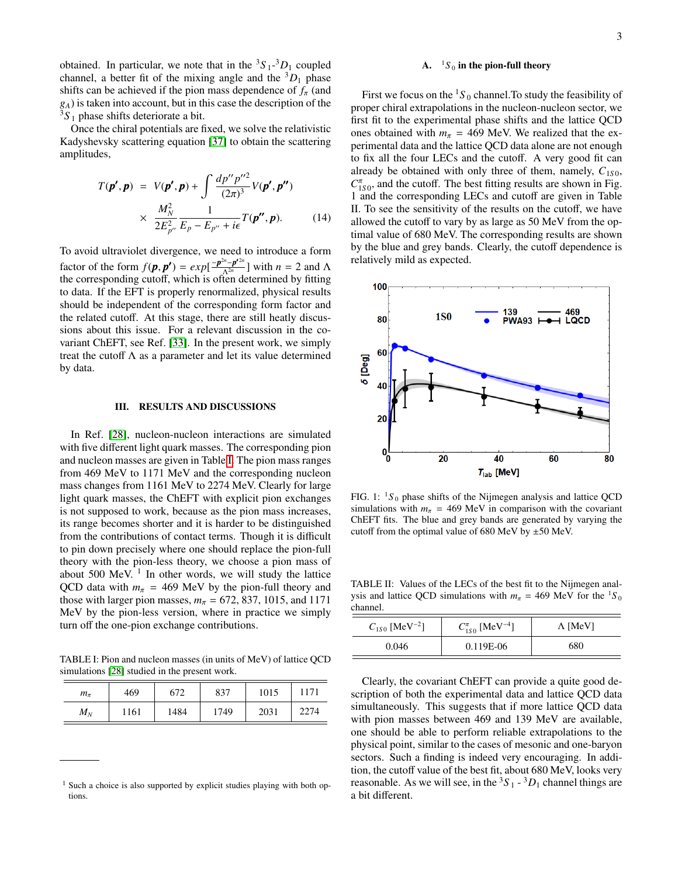obtained. In particular, we note that in the  ${}^3S_1$ - ${}^3D_1$  coupled channel, a better fit of the mixing angle and the  ${}^{3}D_1$  phase shifts can be achieved if the pion mass dependence of  $f_\pi$  (and *gA*) is taken into account, but in this case the description of the  $3S_1$  phase shifts deteriorate a bit.

Once the chiral potentials are fixed, we solve the relativistic Kadyshevsky scattering equation [\[37\]](#page-6-27) to obtain the scattering amplitudes,

$$
T(\boldsymbol{p}', \boldsymbol{p}) = V(\boldsymbol{p}', \boldsymbol{p}) + \int \frac{dp''p''^2}{(2\pi)^3} V(\boldsymbol{p}', \boldsymbol{p}'')
$$
  
 
$$
\times \frac{M_N^2}{2E_{p''}^2} \frac{1}{E_p - E_{p''} + i\epsilon} T(\boldsymbol{p}'', \boldsymbol{p}). \tag{14}
$$

To avoid ultraviolet divergence, we need to introduce a form factor of the form  $f(\mathbf{p}, \mathbf{p'}) = exp[\frac{-\mathbf{p}^{2n}-\mathbf{p'}^{2n}}{\Lambda^{2n}}]$  with  $n = 2$  and  $\Lambda$ <br>the corresponding cutoff which is often determined by fitting the corresponding cutoff, which is often determined by fitting to data. If the EFT is properly renormalized, physical results should be independent of the corresponding form factor and the related cutoff. At this stage, there are still heatly discussions about this issue. For a relevant discussion in the covariant ChEFT, see Ref. [\[33\]](#page-6-22). In the present work, we simply treat the cutoff  $\Lambda$  as a parameter and let its value determined by data.

### III. RESULTS AND DISCUSSIONS

In Ref. [\[28\]](#page-6-19), nucleon-nucleon interactions are simulated with five different light quark masses. The corresponding pion and nucleon masses are given in Table [I.](#page-2-0) The pion mass ranges from 469 MeV to 1171 MeV and the corresponding nucleon mass changes from 1161 MeV to 2274 MeV. Clearly for large light quark masses, the ChEFT with explicit pion exchanges is not supposed to work, because as the pion mass increases, its range becomes shorter and it is harder to be distinguished from the contributions of contact terms. Though it is difficult to pin down precisely where one should replace the pion-full theory with the pion-less theory, we choose a pion mass of about  $500$  MeV.  $<sup>1</sup>$  In other words, we will study the lattice</sup> QCD data with  $m_\pi$  = 469 MeV by the pion-full theory and those with larger pion masses,  $m_\pi$  = 672, 837, 1015, and 1171 MeV by the pion-less version, where in practice we simply turn off the one-pion exchange contributions.

<span id="page-2-0"></span>TABLE I: Pion and nucleon masses (in units of MeV) of lattice QCD simulations [\[28\]](#page-6-19) studied in the present work.

| $m_{\pi}$ | 469  | 672  | 837  | 1015 | 1171 |
|-----------|------|------|------|------|------|
| $M_N$     | 1161 | 1484 | 1749 | 2031 | 2274 |

# A.  $1S_0$  in the pion-full theory

First we focus on the  ${}^{1}S_0$  channel. To study the feasibility of proper chiral extrapolations in the nucleon-nucleon sector, we first fit to the experimental phase shifts and the lattice QCD ones obtained with  $m_\pi$  = 469 MeV. We realized that the experimental data and the lattice QCD data alone are not enough to fix all the four LECs and the cutoff. A very good fit can already be obtained with only three of them, namely,  $C_{1S0}$ ,  $C_{1S0}^{\pi}$ , and the cutoff. The best fitting results are shown in Fig. 1 and the corresponding LECs and cutoff are given in Table II. To see the sensitivity of the results on the cutoff, we have allowed the cutoff to vary by as large as 50 MeV from the optimal value of 680 MeV. The corresponding results are shown by the blue and grey bands. Clearly, the cutoff dependence is relatively mild as expected.



FIG. 1:  ${}^{1}S_0$  phase shifts of the Nijmegen analysis and lattice QCD simulations with  $m_\pi$  = 469 MeV in comparison with the covariant ChEFT fits. The blue and grey bands are generated by varying the cutoff from the optimal value of 680 MeV by  $\pm 50$  MeV.

<span id="page-2-1"></span>TABLE II: Values of the LECs of the best fit to the Nijmegen analysis and lattice QCD simulations with  $m_\pi = 469$  MeV for the <sup>1</sup>S<sub>0</sub> channel.

| $C_{1S0}$ [MeV <sup>-2</sup> ] | $C_{1S0}^{\pi}$ [MeV <sup>-4</sup> ] | $\Lambda$ [MeV] |
|--------------------------------|--------------------------------------|-----------------|
| 0.046                          | 0.119E-06                            | 680             |

Clearly, the covariant ChEFT can provide a quite good description of both the experimental data and lattice QCD data simultaneously. This suggests that if more lattice QCD data with pion masses between 469 and 139 MeV are available, one should be able to perform reliable extrapolations to the physical point, similar to the cases of mesonic and one-baryon sectors. Such a finding is indeed very encouraging. In addition, the cutoff value of the best fit, about 680 MeV, looks very reasonable. As we will see, in the  ${}^3S_1$  -  ${}^3D_1$  channel things are a bit different.

 $<sup>1</sup>$  Such a choice is also supported by explicit studies playing with both op-</sup> tions.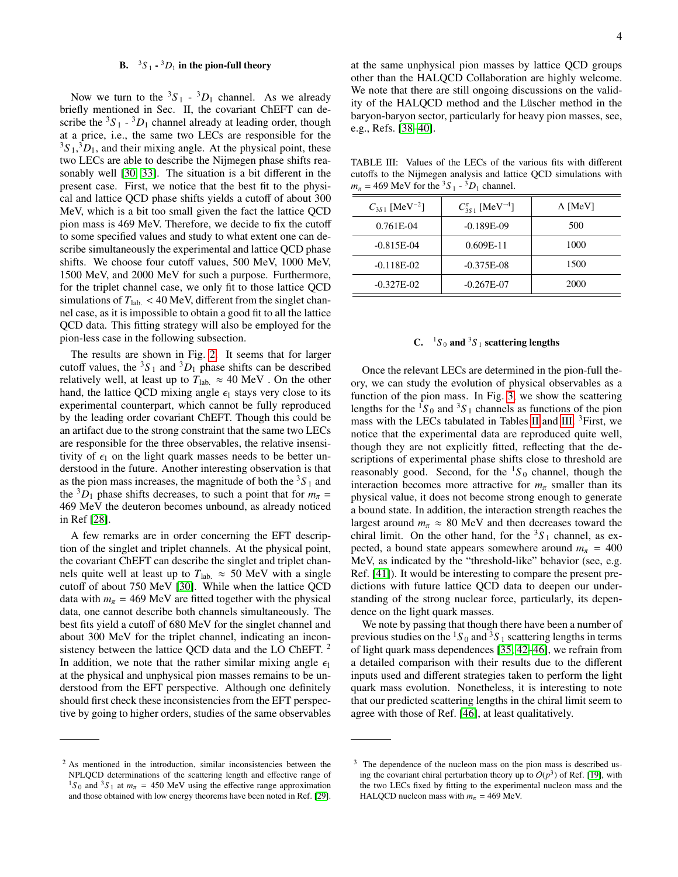# **B.**  ${}^{3}S_{1}$  -  ${}^{3}D_{1}$  in the pion-full theory

Now we turn to the  ${}^{3}S_{1}$  -  ${}^{3}D_{1}$  channel. As we already briefly mentioned in Sec. II, the covariant ChEFT can describe the  ${}^{3}S_{1}$  -  ${}^{3}D_{1}$  channel already at leading order, though at a price, i.e., the same two LECs are responsible for the  ${}^{3}S_{1}$ ,  ${}^{3}D_{1}$ , and their mixing angle. At the physical point, these two LECs are able to describe the Nijmegen phase shifts reasonably well [\[30,](#page-6-21) [33\]](#page-6-22). The situation is a bit different in the present case. First, we notice that the best fit to the physical and lattice QCD phase shifts yields a cutoff of about 300 MeV, which is a bit too small given the fact the lattice QCD pion mass is 469 MeV. Therefore, we decide to fix the cutoff to some specified values and study to what extent one can describe simultaneously the experimental and lattice QCD phase shifts. We choose four cutoff values, 500 MeV, 1000 MeV, 1500 MeV, and 2000 MeV for such a purpose. Furthermore, for the triplet channel case, we only fit to those lattice QCD simulations of  $T_{\text{lab.}} < 40 \text{ MeV}$ , different from the singlet channel case, as it is impossible to obtain a good fit to all the lattice QCD data. This fitting strategy will also be employed for the pion-less case in the following subsection.

The results are shown in Fig. [2.](#page-4-0) It seems that for larger cutoff values, the  ${}^{3}S_{1}$  and  ${}^{3}D_{1}$  phase shifts can be described relatively well, at least up to  $T_{\text{lab.}} \approx 40 \text{ MeV}$ . On the other hand, the lattice QCD mixing angle  $\epsilon_1$  stays very close to its experimental counterpart, which cannot be fully reproduced by the leading order covariant ChEFT. Though this could be an artifact due to the strong constraint that the same two LECs are responsible for the three observables, the relative insensitivity of  $\epsilon_1$  on the light quark masses needs to be better understood in the future. Another interesting observation is that as the pion mass increases, the magnitude of both the  ${}^{3}S_{1}$  and the <sup>3</sup> $D_1$  phase shifts decreases, to such a point that for  $m_\pi$  = 469 MeV the deuteron becomes unbound, as already noticed in Ref [\[28\]](#page-6-19).

A few remarks are in order concerning the EFT description of the singlet and triplet channels. At the physical point, the covariant ChEFT can describe the singlet and triplet channels quite well at least up to  $T_{\text{lab.}} \approx 50 \text{ MeV}$  with a single cutoff of about 750 MeV [\[30\]](#page-6-21). While when the lattice QCD data with  $m_\pi$  = 469 MeV are fitted together with the physical data, one cannot describe both channels simultaneously. The best fits yield a cutoff of 680 MeV for the singlet channel and about 300 MeV for the triplet channel, indicating an inconsistency between the lattice QCD data and the LO ChEFT. <sup>2</sup> In addition, we note that the rather similar mixing angle  $\epsilon_1$ at the physical and unphysical pion masses remains to be understood from the EFT perspective. Although one definitely should first check these inconsistencies from the EFT perspective by going to higher orders, studies of the same observables

 $2$  As mentioned in the introduction, similar inconsistencies between the NPLQCD determinations of the scattering length and effective range of <sup>1</sup>S<sub>0</sub> and <sup>3</sup>S<sub>1</sub> at  $m_\pi$  = 450 MeV using the effective range approximation and those obtained with low energy theorems have been noted in Ref. [\[29\]](#page-6-20).

at the same unphysical pion masses by lattice QCD groups other than the HALQCD Collaboration are highly welcome. We note that there are still ongoing discussions on the validity of the HALQCD method and the Lüscher method in the baryon-baryon sector, particularly for heavy pion masses, see, e.g., Refs. [\[38–](#page-6-28)[40\]](#page-6-29).

<span id="page-3-0"></span>TABLE III: Values of the LECs of the various fits with different cutoffs to the Nijmegen analysis and lattice QCD simulations with  $m_{\pi} = 469$  MeV for the <sup>3</sup>S<sub>1</sub> - <sup>3</sup>D<sub>1</sub> channel.

| $C_{3S1}$ [MeV <sup>-2</sup> ] | $C_{3S1}^{\pi}$ [MeV <sup>-4</sup> ] | $\Lambda$ [MeV] |
|--------------------------------|--------------------------------------|-----------------|
| 0.761E-04                      | $-0.189E-09$                         | 500             |
| $-0.815E-04$                   | $0.609E-11$                          | 1000            |
| $-0.118E-02$                   | $-0.375E-08$                         | 1500            |
| $-0.327E-02$                   | $-0.267E-07$                         | 2000            |

## C.  ${}^{1}S_0$  and  ${}^{3}S_1$  scattering lengths

Once the relevant LECs are determined in the pion-full theory, we can study the evolution of physical observables as a function of the pion mass. In Fig. [3,](#page-4-1) we show the scattering lengths for the  ${}^{1}S_0$  and  ${}^{3}S_1$  channels as functions of the pion mass with the LECs tabulated in Tables [II](#page-2-1) and [III.](#page-3-0) <sup>3</sup>First, we notice that the experimental data are reproduced quite well, though they are not explicitly fitted, reflecting that the descriptions of experimental phase shifts close to threshold are reasonably good. Second, for the  ${}^{1}S_{0}$  channel, though the interaction becomes more attractive for  $m_\pi$  smaller than its physical value, it does not become strong enough to generate a bound state. In addition, the interaction strength reaches the largest around  $m_\pi \approx 80$  MeV and then decreases toward the chiral limit. On the other hand, for the  ${}^{3}S_{1}$  channel, as expected, a bound state appears somewhere around  $m_\pi$  = 400 MeV, as indicated by the "threshold-like" behavior (see, e.g. Ref. [\[41\]](#page-6-30)). It would be interesting to compare the present predictions with future lattice QCD data to deepen our understanding of the strong nuclear force, particularly, its dependence on the light quark masses.

We note by passing that though there have been a number of previous studies on the  ${}^{1}S_0$  and  ${}^{3}S_1$  scattering lengths in terms of light quark mass dependences [\[35,](#page-6-25) [42–](#page-6-31)[46\]](#page-6-32), we refrain from a detailed comparison with their results due to the different inputs used and different strategies taken to perform the light quark mass evolution. Nonetheless, it is interesting to note that our predicted scattering lengths in the chiral limit seem to agree with those of Ref. [\[46\]](#page-6-32), at least qualitatively.

<sup>&</sup>lt;sup>3</sup> The dependence of the nucleon mass on the pion mass is described using the covariant chiral perturbation theory up to  $O(p^3)$  of Ref. [\[19\]](#page-6-12), with the two LECs fixed by fitting to the experimental nucleon mass and the HALQCD nucleon mass with  $m_\pi$  = 469 MeV.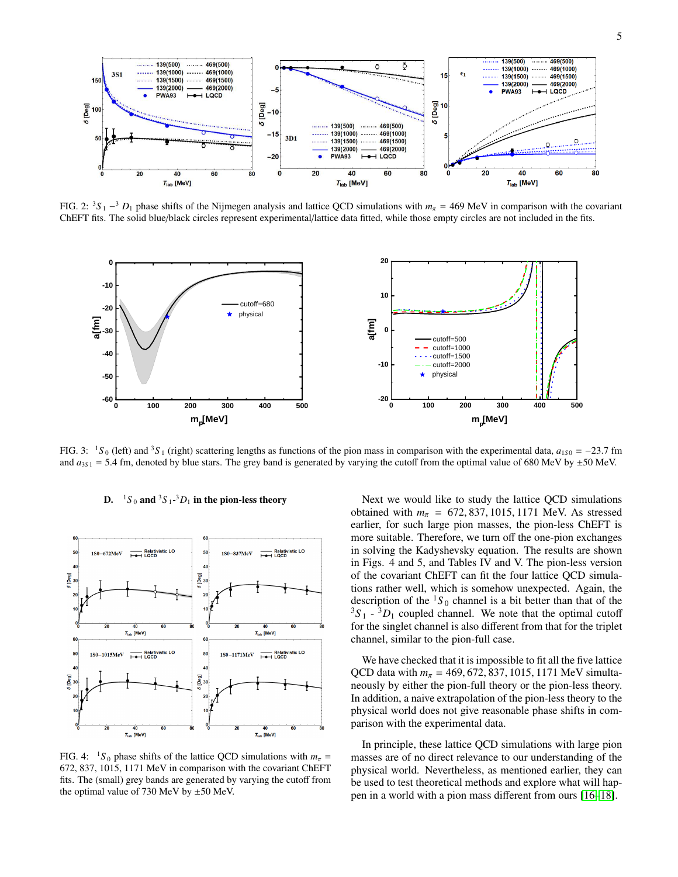

<span id="page-4-0"></span>FIG. 2:  ${}^{3}S_{1} \rightarrow {}^{3}D_{1}$  phase shifts of the Nijmegen analysis and lattice QCD simulations with  $m_{\pi} = 469$  MeV in comparison with the covariant Children analysis and lattice data fitted while these ematy similes are ChEFT fits. The solid blue/black circles represent experimental/lattice data fitted, while those empty circles are not included in the fits.



<span id="page-4-1"></span>FIG. 3:  ${}^{1}S_0$  (left) and  ${}^{3}S_1$  (right) scattering lengths as functions of the pion mass in comparison with the experimental data, *a*<sub>1*S*0</sub> = −23.7 fm and  $a_{351} = 5.4$  fm, denoted by blue stars. The grey band is generated by varying the cutoff from the optimal value of 680 MeV by  $\pm 50$  MeV.



# **D.**  ${}^{1}S_{0}$  and  ${}^{3}S_{1}$ - ${}^{3}D_{1}$  in the pion-less theory

FIG. 4:  ${}^{1}S_0$  phase shifts of the lattice QCD simulations with  $m_\pi$  = 672, 837, 1015, 1171 MeV in comparison with the covariant ChEFT fits. The (small) grey bands are generated by varying the cutoff from the optimal value of 730 MeV by  $\pm 50$  MeV.

Next we would like to study the lattice QCD simulations obtained with  $m_{\pi} = 672,837,1015,1171$  MeV. As stressed earlier, for such large pion masses, the pion-less ChEFT is more suitable. Therefore, we turn off the one-pion exchanges in solving the Kadyshevsky equation. The results are shown in Figs. 4 and 5, and Tables IV and V. The pion-less version of the covariant ChEFT can fit the four lattice QCD simulations rather well, which is somehow unexpected. Again, the description of the  ${}^{1}S_0$  channel is a bit better than that of the  $3S_1 - 3D_1$  coupled channel. We note that the optimal cutoff for the singlet channel is also different from that for the triplet channel, similar to the pion-full case.

We have checked that it is impossible to fit all the five lattice QCD data with  $m_{\pi} = 469,672,837,1015,1171$  MeV simultaneously by either the pion-full theory or the pion-less theory. In addition, a naive extrapolation of the pion-less theory to the physical world does not give reasonable phase shifts in comparison with the experimental data.

In principle, these lattice QCD simulations with large pion masses are of no direct relevance to our understanding of the physical world. Nevertheless, as mentioned earlier, they can be used to test theoretical methods and explore what will happen in a world with a pion mass different from ours [\[16](#page-6-10)[–18\]](#page-6-11).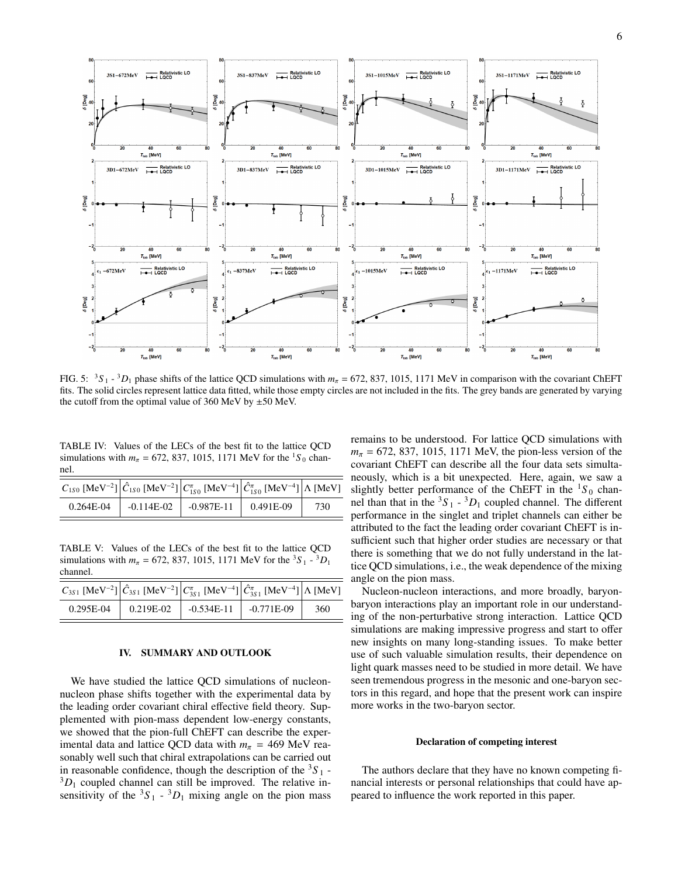

FIG. 5:  ${}^{3}S_{1}$  -  ${}^{3}D_{1}$  phase shifts of the lattice QCD simulations with  $m_{\pi}$  = 672, 837, 1015, 1171 MeV in comparison with the covariant ChEFT<br>fits The solid similar parameter lattice data fitted while these s fits. The solid circles represent lattice data fitted, while those empty circles are not included in the fits. The grey bands are generated by varying the cutoff from the optimal value of 360 MeV by  $\pm 50$  MeV.

TABLE IV: Values of the LECs of the best fit to the lattice QCD simulations with  $m_{\pi} = 672, 837, 1015, 1171$  MeV for the <sup>1</sup>S<sub>0</sub> channel.

| $\left C_{1S0}$ [MeV <sup>-2</sup> ] $\left \hat{C}_{1S0}$ [MeV <sup>-2</sup> ] $\left C_{1S0}^{\pi}$ [MeV <sup>-4</sup> ] $\left \hat{C}_{1S0}^{\pi}$ [MeV <sup>-4</sup> ] $\right \Lambda$ [MeV] |                                       |     |
|----------------------------------------------------------------------------------------------------------------------------------------------------------------------------------------------------|---------------------------------------|-----|
| 0.264E-04                                                                                                                                                                                          | $-0.114E-02$ $-0.987E-11$ $0.491E-09$ | 730 |

TABLE V: Values of the LECs of the best fit to the lattice QCD simulations with  $m_{\pi} = 672, 837, 1015, 1171 \text{ MeV}$  for the <sup>3</sup>S<sub>1</sub> - <sup>3</sup>D<sub>1</sub> channel channel.

| $C_{3S1}$ [MeV <sup>-2</sup> ] $\Big \hat{C}_{3S1}$ [MeV <sup>-2</sup> ] $\Big \hat{C}_{3S1}^{\pi}$ [MeV <sup>-4</sup> ] $\Big \hat{C}_{3S1}^{\pi}$ [MeV <sup>-4</sup> ] $\Big \Lambda$ [MeV] |           |                           |     |
|-----------------------------------------------------------------------------------------------------------------------------------------------------------------------------------------------|-----------|---------------------------|-----|
| 0.295E-04                                                                                                                                                                                     | 0.219E-02 | $-0.534E-11$ $-0.771E-09$ | 360 |

## IV. SUMMARY AND OUTLOOK

We have studied the lattice QCD simulations of nucleonnucleon phase shifts together with the experimental data by the leading order covariant chiral effective field theory. Supplemented with pion-mass dependent low-energy constants, we showed that the pion-full ChEFT can describe the experimental data and lattice QCD data with  $m_\pi$  = 469 MeV reasonably well such that chiral extrapolations can be carried out in reasonable confidence, though the description of the  ${}^{3}S_{1}$  - ${}^{3}D_1$  coupled channel can still be improved. The relative insensitivity of the  ${}^3S_1$  -  ${}^3D_1$  mixing angle on the pion mass

remains to be understood. For lattice QCD simulations with  $m_{\pi}$  = 672, 837, 1015, 1171 MeV, the pion-less version of the covariant ChEFT can describe all the four data sets simultaneously, which is a bit unexpected. Here, again, we saw a slightly better performance of the ChEFT in the  ${}^{1}S_0$  channel than that in the  ${}^{3}S_{1}$  -  ${}^{3}D_{1}$  coupled channel. The different performance in the singlet and triplet channels can either be attributed to the fact the leading order covariant ChEFT is insufficient such that higher order studies are necessary or that there is something that we do not fully understand in the lattice QCD simulations, i.e., the weak dependence of the mixing angle on the pion mass.

Nucleon-nucleon interactions, and more broadly, baryonbaryon interactions play an important role in our understanding of the non-perturbative strong interaction. Lattice QCD simulations are making impressive progress and start to offer new insights on many long-standing issues. To make better use of such valuable simulation results, their dependence on light quark masses need to be studied in more detail. We have seen tremendous progress in the mesonic and one-baryon sectors in this regard, and hope that the present work can inspire more works in the two-baryon sector.

#### Declaration of competing interest

The authors declare that they have no known competing financial interests or personal relationships that could have appeared to influence the work reported in this paper.